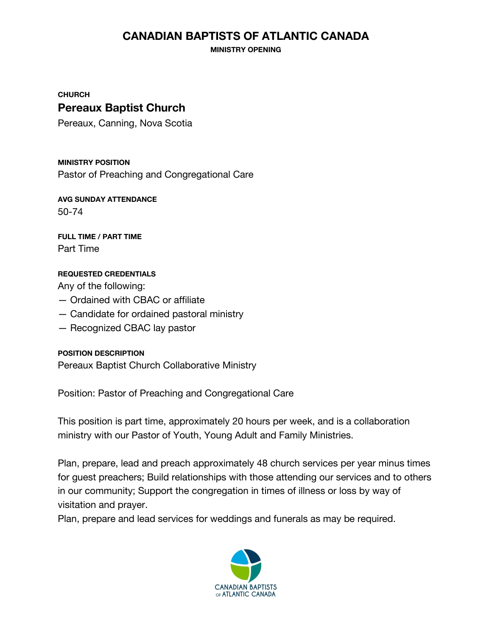# **CANADIAN BAPTISTS OF ATLANTIC CANADA**

**MINISTRY OPENING**

**CHURCH**

## **Pereaux Baptist Church**

Pereaux, Canning, Nova Scotia

**MINISTRY POSITION**

Pastor of Preaching and Congregational Care

**AVG SUNDAY ATTENDANCE** 50-74

**FULL TIME / PART TIME** Part Time

### **REQUESTED CREDENTIALS**

Any of the following:

- Ordained with CBAC or affiliate
- Candidate for ordained pastoral ministry
- Recognized CBAC lay pastor

### **POSITION DESCRIPTION**

Pereaux Baptist Church Collaborative Ministry

Position: Pastor of Preaching and Congregational Care

This position is part time, approximately 20 hours per week, and is a collaboration ministry with our Pastor of Youth, Young Adult and Family Ministries.

Plan, prepare, lead and preach approximately 48 church services per year minus times for guest preachers; Build relationships with those attending our services and to others in our community; Support the congregation in times of illness or loss by way of visitation and prayer.

Plan, prepare and lead services for weddings and funerals as may be required.

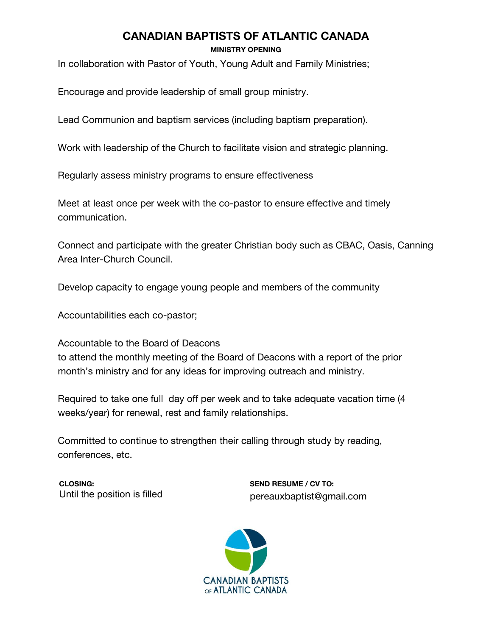# **CANADIAN BAPTISTS OF ATLANTIC CANADA**

**MINISTRY OPENING**

In collaboration with Pastor of Youth, Young Adult and Family Ministries;

Encourage and provide leadership of small group ministry.

Lead Communion and baptism services (including baptism preparation).

Work with leadership of the Church to facilitate vision and strategic planning.

Regularly assess ministry programs to ensure effectiveness

Meet at least once per week with the co-pastor to ensure effective and timely communication.

Connect and participate with the greater Christian body such as CBAC, Oasis, Canning Area Inter-Church Council.

Develop capacity to engage young people and members of the community

Accountabilities each co-pastor;

Accountable to the Board of Deacons to attend the monthly meeting of the Board of Deacons with a report of the prior month's ministry and for any ideas for improving outreach and ministry.

Required to take one full day off per week and to take adequate vacation time (4 weeks/year) for renewal, rest and family relationships.

Committed to continue to strengthen their calling through study by reading, conferences, etc.

**CLOSING:**  Until the position is filled **SEND RESUME / CV TO:**  pereauxbaptist@gmail.com